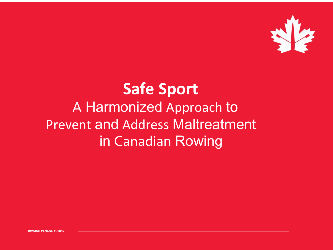

### **Safe Sport** A Harmonized Approach to Prevent and Address Maltreatment in Canadian Rowing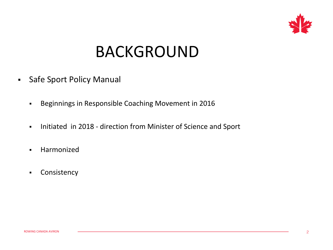

## BACKGROUND

- **Safe Sport Policy Manual** 
	- § Beginnings in Responsible Coaching Movement in 2016
	- Initiated in 2018 direction from Minister of Science and Sport
	- § Harmonized
	- § Consistency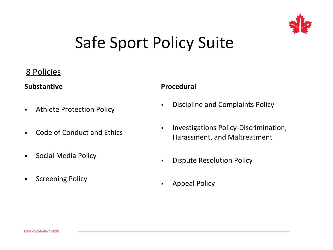

## Safe Sport Policy Suite

### 8 Policies

#### **Substantive**

- **Athlete Protection Policy**
- § Code of Conduct and Ethics
- § Social Media Policy
- **•** Screening Policy

#### **Procedural**

- **Discipline and Complaints Policy**
- **Investigations Policy-Discrimination,** Harassment, and Maltreatment
- **Dispute Resolution Policy**
- **•** Appeal Policy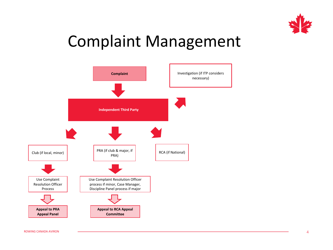

### Complaint Management

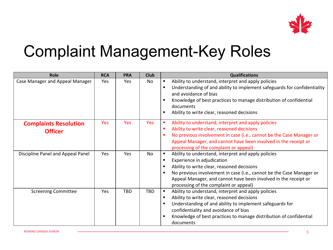

## Complaint Management-Key Roles

| <b>Role</b>                                    | <b>RCA</b> | <b>PRA</b> | <b>Club</b> | <b>Qualifications</b>                                                                                                                                                                                                                                                                                                                                             |
|------------------------------------------------|------------|------------|-------------|-------------------------------------------------------------------------------------------------------------------------------------------------------------------------------------------------------------------------------------------------------------------------------------------------------------------------------------------------------------------|
| <b>Case Manager and Appeal Manager</b>         | Yes        | Yes        | No          | Ability to understand, interpret and apply policies<br>$\blacksquare$<br>Understanding of and ability to implement safeguards for confidentiality<br>$\blacksquare$<br>and avoidance of bias<br>Knowledge of best practices to manage distribution of confidential<br>$\blacksquare$<br>documents<br>Ability to write clear, reasoned decisions<br>$\blacksquare$ |
| <b>Complaints Resolution</b><br><b>Officer</b> | <b>Yes</b> | <b>Yes</b> | <b>Yes</b>  | Ability to understand, interpret and apply policies<br>$\blacksquare$<br>Ability to write clear, reasoned decisions<br>No previous involvement in case (i.e., cannot be the Case Manager or<br>Appeal Manager, and cannot have been involved in the receipt or<br>processing of the complaint or appeal)                                                          |
| Discipline Panel and Appeal Panel              | <b>Yes</b> | Yes        | <b>No</b>   | Ability to understand, interpret and apply policies<br>$\blacksquare$<br>Experience in adjudication<br>$\blacksquare$<br>Ability to write clear, reasoned decisions<br>No previous involvement in case (i.e., cannot be the Case Manager or<br>Appeal Manager, and cannot have been involved in the receipt or<br>processing of the complaint or appeal)          |
| <b>Screening Committee</b>                     | Yes        | <b>TBD</b> | <b>TBD</b>  | Ability to understand, interpret and apply policies<br>$\blacksquare$<br>Ability to write clear, reasoned decisions<br>Understanding of and ability to implement safeguards for<br>confidentiality and avoidance of bias<br>Knowledge of best practices to manage distribution of confidential<br>documents                                                       |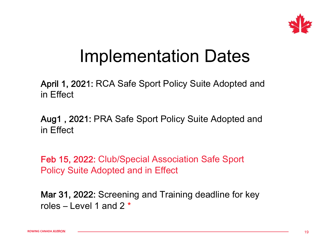

## Implementation Dates

April 1, 2021: RCA Safe Sport Policy Suite Adopted and in Effect

Aug1 , 2021: PRA Safe Sport Policy Suite Adopted and in Effect

Feb 15, 2022: Club/Special Association Safe Sport Policy Suite Adopted and in Effect

Mar 31, 2022: Screening and Training deadline for key roles – Level 1 and 2  $*$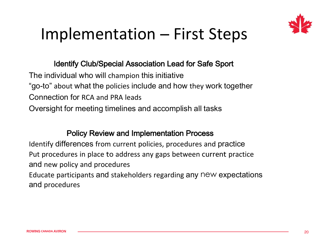

## Implementation – First Steps

#### Identify Club/Special Association Lead for Safe Sport

The individual who will champion this initiative "go-to" about what the policies include and how they work together Connection for RCA and PRA leads Oversight for meeting timelines and accomplish all tasks

#### Policy Review and Implementation Process

Identify differences from current policies, procedures and practice Put procedures in place to address any gaps between current practice and new policy and procedures

Educate participants and stakeholders regarding any new expectations and procedures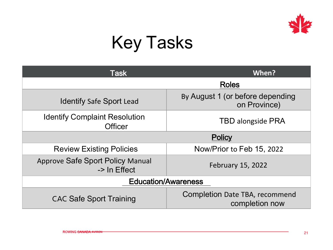

# Key Tasks

| <b>Task</b>                                             | When?                                                   |  |  |  |  |
|---------------------------------------------------------|---------------------------------------------------------|--|--|--|--|
|                                                         | <b>Roles</b>                                            |  |  |  |  |
| <b>Identify Safe Sport Lead</b>                         | By August 1 (or before depending<br>on Province)        |  |  |  |  |
| <b>Identify Complaint Resolution</b><br><b>Officer</b>  | <b>TBD alongside PRA</b>                                |  |  |  |  |
|                                                         | <b>Policy</b>                                           |  |  |  |  |
| <b>Review Existing Policies</b>                         | Now/Prior to Feb 15, 2022                               |  |  |  |  |
| <b>Approve Safe Sport Policy Manual</b><br>-> In Effect | <b>February 15, 2022</b>                                |  |  |  |  |
| <b>Education/Awareness</b>                              |                                                         |  |  |  |  |
| <b>CAC Safe Sport Training</b>                          | <b>Completion Date TBA, recommend</b><br>completion now |  |  |  |  |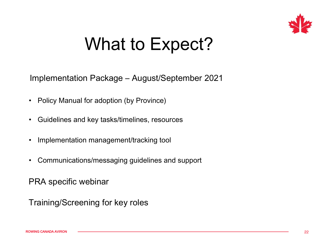

## What to Expect?

Implementation Package – August/September 2021

- Policy Manual for adoption (by Province)
- Guidelines and key tasks/timelines, resources
- Implementation management/tracking tool
- Communications/messaging guidelines and support

PRA specific webinar

Training/Screening for key roles